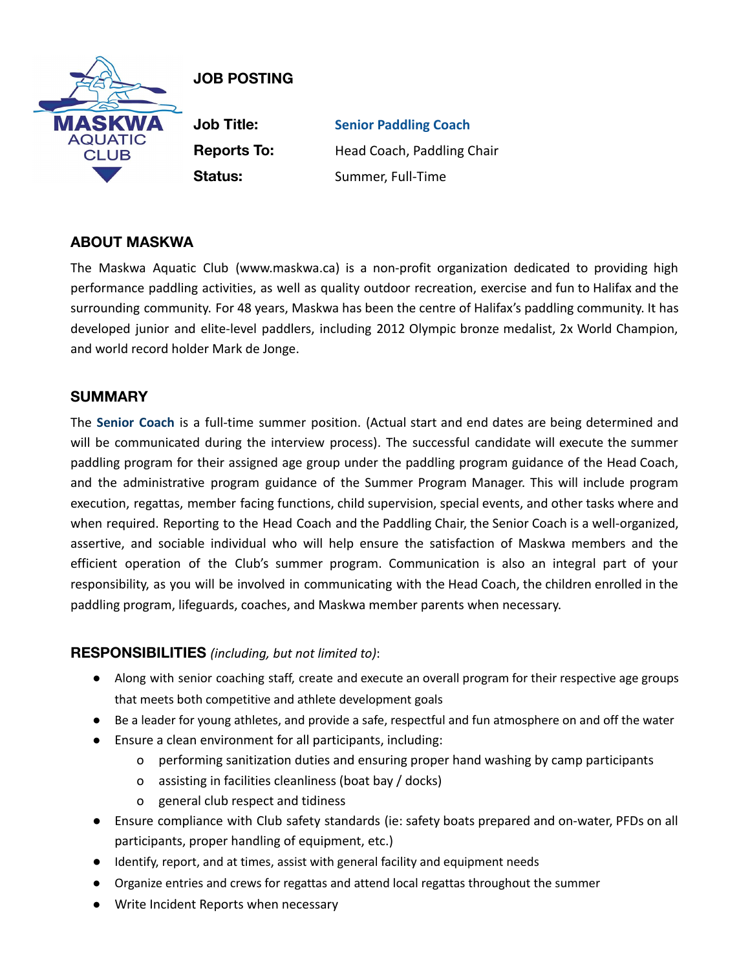

# **JOB POSTING**

**Job Title: Senior Paddling Coach Reports To:** Head Coach, Paddling Chair **Status:** Summer, Full-Time

## **ABOUT MASKWA**

The Maskwa Aquatic Club (www.maskwa.ca) is a non-profit organization dedicated to providing high performance paddling activities, as well as quality outdoor recreation, exercise and fun to Halifax and the surrounding community. For 48 years, Maskwa has been the centre of Halifax's paddling community. It has developed junior and elite-level paddlers, including 2012 Olympic bronze medalist, 2x World Champion, and world record holder Mark de Jonge.

### **SUMMARY**

The **Senior Coach** is a full-time summer position. (Actual start and end dates are being determined and will be communicated during the interview process). The successful candidate will execute the summer paddling program for their assigned age group under the paddling program guidance of the Head Coach, and the administrative program guidance of the Summer Program Manager. This will include program execution, regattas, member facing functions, child supervision, special events, and other tasks where and when required. Reporting to the Head Coach and the Paddling Chair, the Senior Coach is a well-organized, assertive, and sociable individual who will help ensure the satisfaction of Maskwa members and the efficient operation of the Club's summer program. Communication is also an integral part of your responsibility, as you will be involved in communicating with the Head Coach, the children enrolled in the paddling program, lifeguards, coaches, and Maskwa member parents when necessary.

## **RESPONSIBILITIES** *(including, but not limited to)*:

- Along with senior coaching staff, create and execute an overall program for their respective age groups that meets both competitive and athlete development goals
- Be a leader for young athletes, and provide a safe, respectful and fun atmosphere on and off the water
- Ensure a clean environment for all participants, including:
	- o performing sanitization duties and ensuring proper hand washing by camp participants
	- o assisting in facilities cleanliness (boat bay / docks)
	- o general club respect and tidiness
- Ensure compliance with Club safety standards (ie: safety boats prepared and on-water, PFDs on all participants, proper handling of equipment, etc.)
- Identify, report, and at times, assist with general facility and equipment needs
- Organize entries and crews for regattas and attend local regattas throughout the summer
- Write Incident Reports when necessary